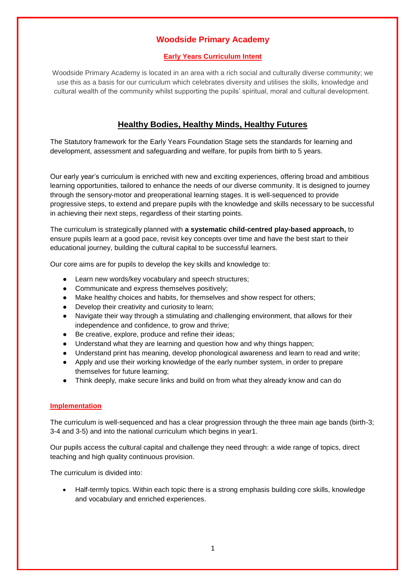## **Woodside Primary Academy**

### **Early Years Curriculum Intent**

Woodside Primary Academy is located in an area with a rich social and culturally diverse community; we use this as a basis for our curriculum which celebrates diversity and utilises the skills, knowledge and cultural wealth of the community whilst supporting the pupils' spiritual, moral and cultural development.

# **Healthy Bodies, Healthy Minds, Healthy Futures**

The Statutory framework for the Early Years Foundation Stage sets the standards for learning and development, assessment and safeguarding and welfare, for pupils from birth to 5 years.

Our early year's curriculum is enriched with new and exciting experiences, offering broad and ambitious learning opportunities, tailored to enhance the needs of our diverse community. It is designed to journey through the sensory-motor and preoperational learning stages. It is well-sequenced to provide progressive steps, to extend and prepare pupils with the knowledge and skills necessary to be successful in achieving their next steps, regardless of their starting points.

The curriculum is strategically planned with **a systematic child-centred play-based approach,** to ensure pupils learn at a good pace, revisit key concepts over time and have the best start to their educational journey, building the cultural capital to be successful learners.

Our core aims are for pupils to develop the key skills and knowledge to:

- Learn new words/key vocabulary and speech structures;
- Communicate and express themselves positively;
- Make healthy choices and habits, for themselves and show respect for others;
- Develop their creativity and curiosity to learn;
- Navigate their way through a stimulating and challenging environment, that allows for their independence and confidence, to grow and thrive;
- Be creative, explore, produce and refine their ideas;
- Understand what they are learning and question how and why things happen;
- Understand print has meaning, develop phonological awareness and learn to read and write;
- Apply and use their working knowledge of the early number system, in order to prepare themselves for future learning;
- Think deeply, make secure links and build on from what they already know and can do

#### **Implementation**

The curriculum is well-sequenced and has a clear progression through the three main age bands (birth-3; 3-4 and 3-5) and into the national curriculum which begins in year1.

Our pupils access the cultural capital and challenge they need through: a wide range of topics, direct teaching and high quality continuous provision.

The curriculum is divided into:

 Half-termly topics. Within each topic there is a strong emphasis building core skills, knowledge and vocabulary and enriched experiences.